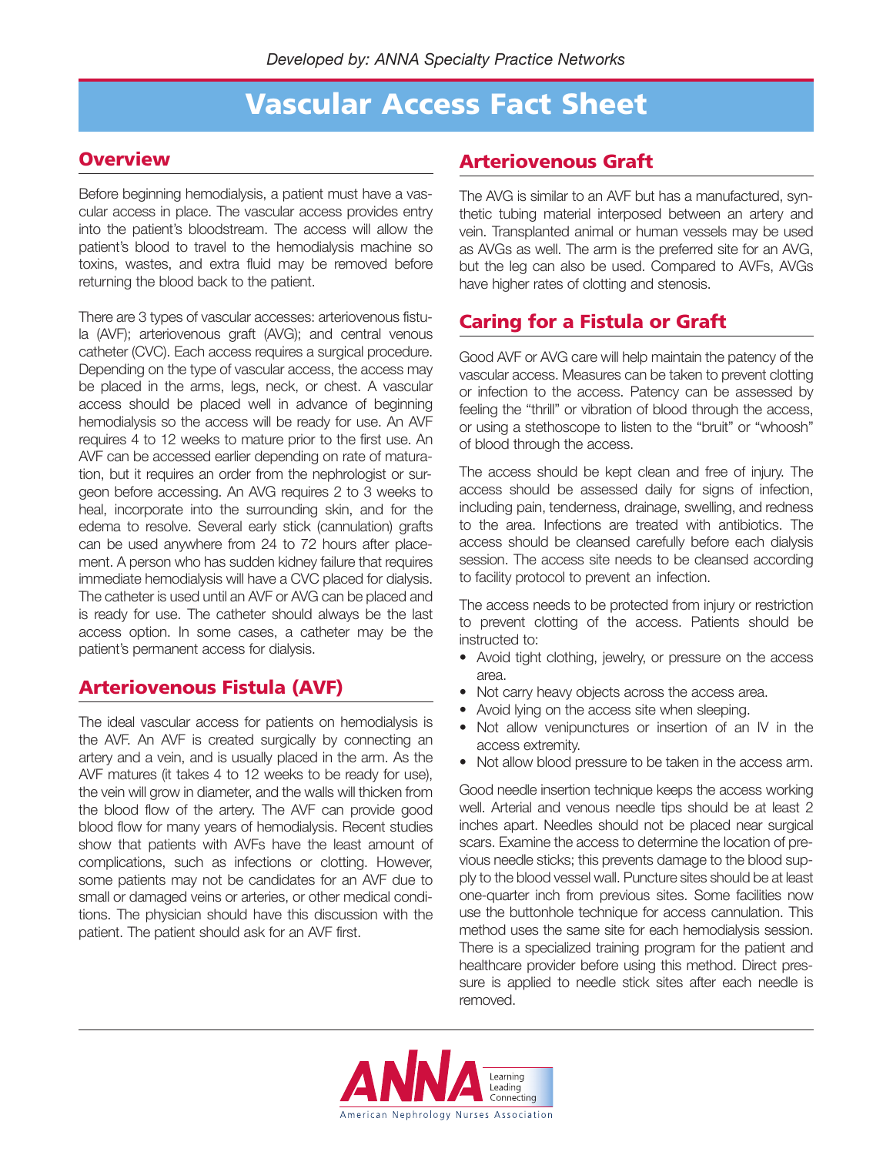### **Vascular Access Fact Sheet**

#### **Overview**

Before beginning hemodialysis, a patient must have a vascular access in place. The vascular access provides entry into the patient's bloodstream. The access will allow the patient's blood to travel to the hemodialysis machine so toxins, wastes, and extra fluid may be removed before returning the blood back to the patient.

There are 3 types of vascular accesses: arteriovenous fistula (AVF); arteriovenous graft (AVG); and central venous catheter (CVC). Each access requires a surgical procedure. Depending on the type of vascular access, the access may be placed in the arms, legs, neck, or chest. A vascular access should be placed well in advance of beginning hemodialysis so the access will be ready for use. An AVF requires 4 to 12 weeks to mature prior to the first use. An AVF can be accessed earlier depending on rate of maturation, but it requires an order from the nephrologist or surgeon before accessing. An AVG requires 2 to 3 weeks to heal, incorporate into the surrounding skin, and for the edema to resolve. Several early stick (cannulation) grafts can be used anywhere from 24 to 72 hours after placement. A person who has sudden kidney failure that requires immediate hemodialysis will have a CVC placed for dialysis. The catheter is used until an AVF or AVG can be placed and is ready for use. The catheter should always be the last access option. In some cases, a catheter may be the patient's permanent access for dialysis.

### **Arteriovenous Fistula (AVF)**

The ideal vascular access for patients on hemodialysis is the AVF. An AVF is created surgically by connecting an artery and a vein, and is usually placed in the arm. As the AVF matures (it takes 4 to 12 weeks to be ready for use), the vein will grow in diameter, and the walls will thicken from the blood flow of the artery. The AVF can provide good blood flow for many years of hemodialysis. Recent studies show that patients with AVFs have the least amount of complications, such as infections or clotting. However, some patients may not be candidates for an AVF due to small or damaged veins or arteries, or other medical conditions. The physician should have this discussion with the patient. The patient should ask for an AVF first.

#### **Arteriovenous Graft**

The AVG is similar to an AVF but has a manufactured, synthetic tubing material interposed between an artery and vein. Transplanted animal or human vessels may be used as AVGs as well. The arm is the preferred site for an AVG, but the leg can also be used. Compared to AVFs, AVGs have higher rates of clotting and stenosis.

### **Caring for a Fistula or Graft**

Good AVF or AVG care will help maintain the patency of the vascular access. Measures can be taken to prevent clotting or infection to the access. Patency can be assessed by feeling the "thrill" or vibration of blood through the access, or using a stethoscope to listen to the "bruit" or "whoosh" of blood through the access.

The access should be kept clean and free of injury. The access should be assessed daily for signs of infection, including pain, tenderness, drainage, swelling, and redness to the area. Infections are treated with antibiotics. The access should be cleansed carefully before each dialysis session. The access site needs to be cleansed according to facility protocol to prevent an infection.

The access needs to be protected from injury or restriction to prevent clotting of the access. Patients should be instructed to:

- Avoid tight clothing, jewelry, or pressure on the access area.
- Not carry heavy objects across the access area.
- Avoid lying on the access site when sleeping.
- Not allow venipunctures or insertion of an IV in the access extremity.
- Not allow blood pressure to be taken in the access arm.

Good needle insertion technique keeps the access working well. Arterial and venous needle tips should be at least 2 inches apart. Needles should not be placed near surgical scars. Examine the access to determine the location of previous needle sticks; this prevents damage to the blood supply to the blood vessel wall. Puncture sites should be at least one-quarter inch from previous sites. Some facilities now use the buttonhole technique for access cannulation. This method uses the same site for each hemodialysis session. There is a specialized training program for the patient and healthcare provider before using this method. Direct pressure is applied to needle stick sites after each needle is removed.

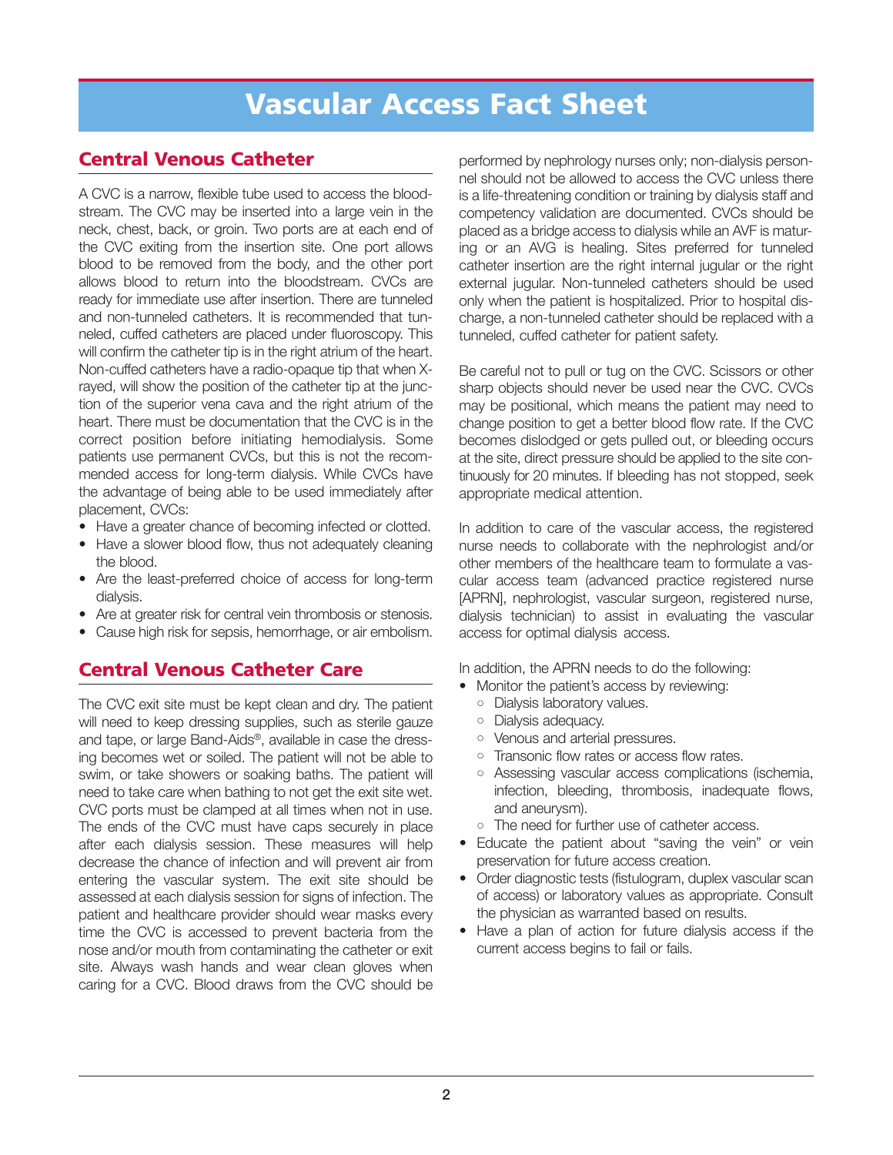# **Vascular Access Fact Sheet**

#### **Central Venous Catheter**

A CVC is a narrow, flexible tube used to access the bloodstream. The CVC may be inserted into a large vein in the neck, chest, back, or groin. Two ports are at each end of the CVC exiting from the insertion site. One port allows blood to be removed from the body, and the other port allows blood to return into the bloodstream. CVCs are ready for immediate use after insertion. There are tunneled and non-tunneled catheters. It is recommended that tunneled, cuffed catheters are placed under fluoroscopy. This will confirm the catheter tip is in the right atrium of the heart. Non-cuffed catheters have a radio-opaque tip that when Xrayed, will show the position of the catheter tip at the junction of the superior vena cava and the right atrium of the heart. There must be documentation that the CVC is in the correct position before initiating hemodialysis. Some patients use permanent CVCs, but this is not the recommended access for long-term dialysis. While CVCs have the advantage of being able to be used immediately after placement, CVCs:

- Have a greater chance of becoming infected or clotted.
- Have a slower blood flow, thus not adequately cleaning the blood.
- Are the least-preferred choice of access for long-term dialysis.
- Are at greater risk for central vein thrombosis or stenosis.
- Cause high risk for sepsis, hemorrhage, or air embolism.

#### **Central Venous Catheter Care**

The CVC exit site must be kept clean and dry. The patient will need to keep dressing supplies, such as sterile gauze and tape, or large Band-Aids®, available in case the dressing becomes wet or soiled. The patient will not be able to swim, or take showers or soaking baths. The patient will need to take care when bathing to not get the exit site wet. CVC ports must be clamped at all times when not in use. The ends of the CVC must have caps securely in place after each dialysis session. These measures will help decrease the chance of infection and will prevent air from entering the vascular system. The exit site should be assessed at each dialysis session for signs of infection. The patient and healthcare provider should wear masks every time the CVC is accessed to prevent bacteria from the nose and/or mouth from contaminating the catheter or exit site. Always wash hands and wear clean gloves when caring for a CVC. Blood draws from the CVC should be

performed by nephrology nurses only; non-dialysis personnel should not be allowed to access the CVC unless there is a life-threatening condition or training by dialysis staff and competency validation are documented. CVCs should be placed as a bridge access to dialysis while an AVF is maturing or an AVG is healing. Sites preferred for tunneled catheter insertion are the right internal jugular or the right external jugular. Non-tunneled catheters should be used only when the patient is hospitalized. Prior to hospital discharge, a non-tunneled catheter should be replaced with a tunneled, cuffed catheter for patient safety.

Be careful not to pull or tug on the CVC. Scissors or other sharp objects should never be used near the CVC. CVCs may be positional, which means the patient may need to change position to get a better blood flow rate. If the CVC becomes dislodged or gets pulled out, or bleeding occurs at the site, direct pressure should be applied to the site continuously for 20 minutes. If bleeding has not stopped, seek appropriate medical attention.

In addition to care of the vascular access, the registered nurse needs to collaborate with the nephrologist and/or other members of the healthcare team to formulate a vascular access team (advanced practice registered nurse [APRN], nephrologist, vascular surgeon, registered nurse, dialysis technician) to assist in evaluating the vascular access for optimal dialysis access.

In addition, the APRN needs to do the following:

- Monitor the patient's access by reviewing:
	- Dialysis laboratory values.
	- Dialysis adequacy.
	- Venous and arterial pressures.
	- Transonic flow rates or access flow rates.
	- Assessing vascular access complications (ischemia, infection, bleeding, thrombosis, inadequate flows, and aneurysm).
	- The need for further use of catheter access.
- Educate the patient about "saving the vein" or vein preservation for future access creation.
- Order diagnostic tests (fistulogram, duplex vascular scan of access) or laboratory values as appropriate. Consult the physician as warranted based on results.
- Have a plan of action for future dialysis access if the current access begins to fail or fails.